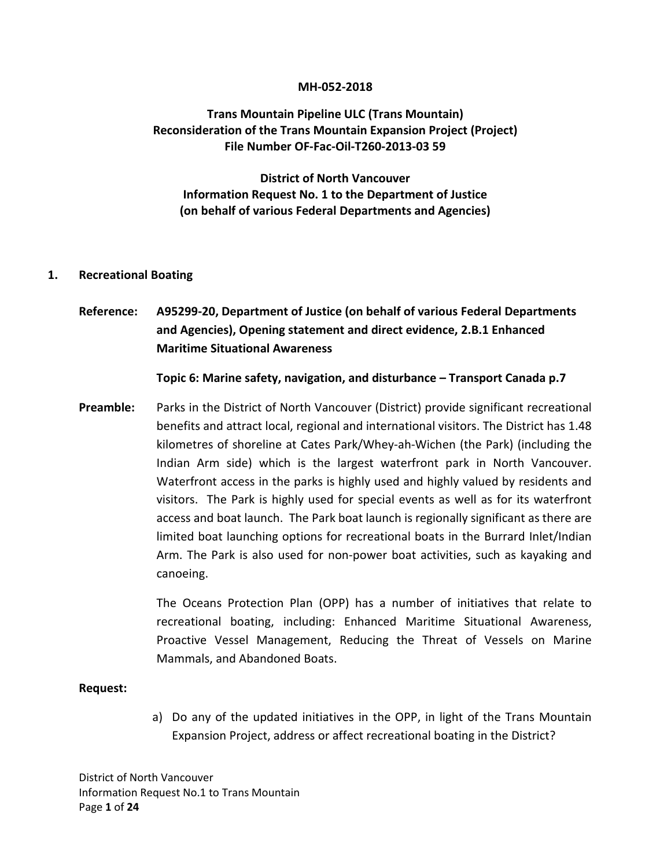#### **MH-052-2018**

## **Trans Mountain Pipeline ULC (Trans Mountain) Reconsideration of the Trans Mountain Expansion Project (Project) File Number OF-Fac-Oil-T260-2013-03 59**

## **District of North Vancouver Information Request No. 1 to the Department of Justice (on behalf of various Federal Departments and Agencies)**

## **1. Recreational Boating**

**Reference: A95299-20, Department of Justice (on behalf of various Federal Departments and Agencies), Opening statement and direct evidence, 2.B.1 Enhanced Maritime Situational Awareness**

**Topic 6: Marine safety, navigation, and disturbance – Transport Canada p.7**

**Preamble:** Parks in the District of North Vancouver (District) provide significant recreational benefits and attract local, regional and international visitors. The District has 1.48 kilometres of shoreline at Cates Park/Whey-ah-Wichen (the Park) (including the Indian Arm side) which is the largest waterfront park in North Vancouver. Waterfront access in the parks is highly used and highly valued by residents and visitors. The Park is highly used for special events as well as for its waterfront access and boat launch. The Park boat launch is regionally significant as there are limited boat launching options for recreational boats in the Burrard Inlet/Indian Arm. The Park is also used for non-power boat activities, such as kayaking and canoeing.

> The Oceans Protection Plan (OPP) has a number of initiatives that relate to recreational boating, including: Enhanced Maritime Situational Awareness, Proactive Vessel Management, Reducing the Threat of Vessels on Marine Mammals, and Abandoned Boats.

#### **Request:**

a) Do any of the updated initiatives in the OPP, in light of the Trans Mountain Expansion Project, address or affect recreational boating in the District?

District of North Vancouver Information Request No.1 to Trans Mountain Page **1** of **24**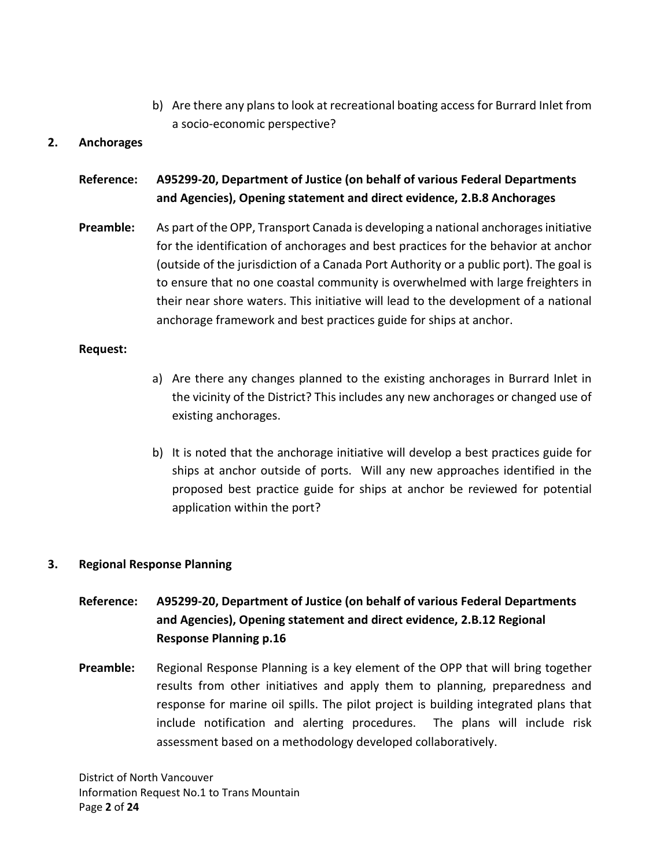b) Are there any plans to look at recreational boating access for Burrard Inlet from a socio-economic perspective?

## **2. Anchorages**

# **Reference: A95299-20, Department of Justice (on behalf of various Federal Departments and Agencies), Opening statement and direct evidence, 2.B.8 Anchorages**

**Preamble:** As part of the OPP, Transport Canada is developing a national anchorages initiative for the identification of anchorages and best practices for the behavior at anchor (outside of the jurisdiction of a Canada Port Authority or a public port). The goal is to ensure that no one coastal community is overwhelmed with large freighters in their near shore waters. This initiative will lead to the development of a national anchorage framework and best practices guide for ships at anchor.

#### **Request:**

- a) Are there any changes planned to the existing anchorages in Burrard Inlet in the vicinity of the District? This includes any new anchorages or changed use of existing anchorages.
- b) It is noted that the anchorage initiative will develop a best practices guide for ships at anchor outside of ports. Will any new approaches identified in the proposed best practice guide for ships at anchor be reviewed for potential application within the port?

## **3. Regional Response Planning**

# **Reference: A95299-20, Department of Justice (on behalf of various Federal Departments and Agencies), Opening statement and direct evidence, 2.B.12 Regional Response Planning p.16**

**Preamble:** Regional Response Planning is a key element of the OPP that will bring together results from other initiatives and apply them to planning, preparedness and response for marine oil spills. The pilot project is building integrated plans that include notification and alerting procedures. The plans will include risk assessment based on a methodology developed collaboratively.

District of North Vancouver Information Request No.1 to Trans Mountain Page **2** of **24**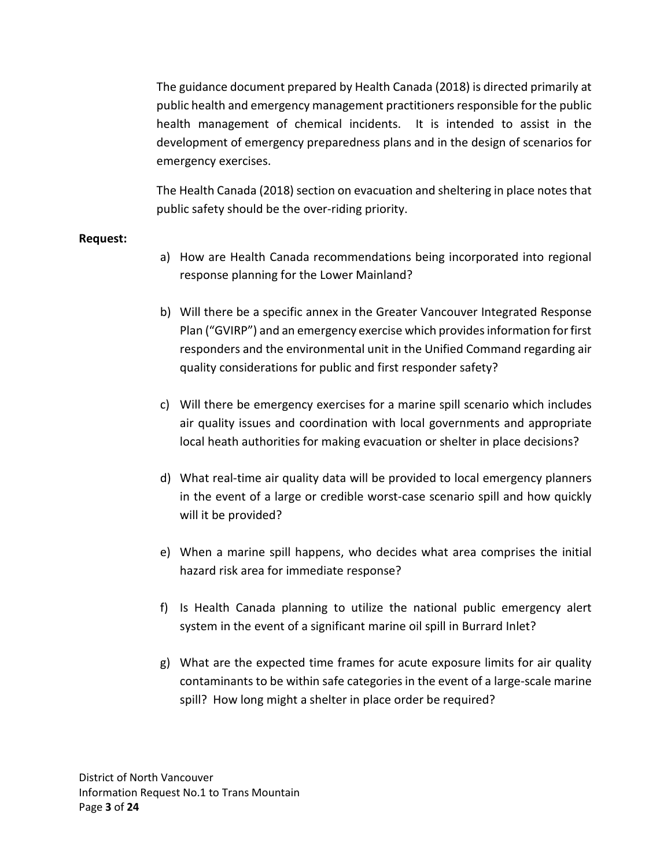The guidance document prepared by Health Canada (2018) is directed primarily at public health and emergency management practitioners responsible for the public health management of chemical incidents. It is intended to assist in the development of emergency preparedness plans and in the design of scenarios for emergency exercises.

The Health Canada (2018) section on evacuation and sheltering in place notes that public safety should be the over-riding priority.

#### **Request:**

- a) How are Health Canada recommendations being incorporated into regional response planning for the Lower Mainland?
- b) Will there be a specific annex in the Greater Vancouver Integrated Response Plan ("GVIRP") and an emergency exercise which provides information for first responders and the environmental unit in the Unified Command regarding air quality considerations for public and first responder safety?
- c) Will there be emergency exercises for a marine spill scenario which includes air quality issues and coordination with local governments and appropriate local heath authorities for making evacuation or shelter in place decisions?
- d) What real-time air quality data will be provided to local emergency planners in the event of a large or credible worst-case scenario spill and how quickly will it be provided?
- e) When a marine spill happens, who decides what area comprises the initial hazard risk area for immediate response?
- f) Is Health Canada planning to utilize the national public emergency alert system in the event of a significant marine oil spill in Burrard Inlet?
- g) What are the expected time frames for acute exposure limits for air quality contaminants to be within safe categories in the event of a large-scale marine spill? How long might a shelter in place order be required?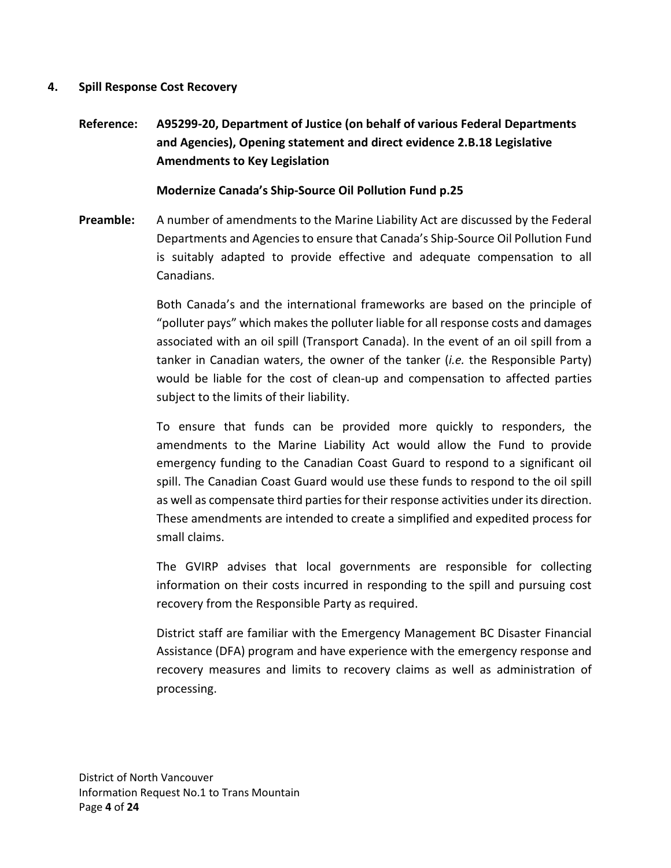### **4. Spill Response Cost Recovery**

**Reference: A95299-20, Department of Justice (on behalf of various Federal Departments and Agencies), Opening statement and direct evidence 2.B.18 Legislative Amendments to Key Legislation**

## **Modernize Canada's Ship-Source Oil Pollution Fund p.25**

**Preamble:** A number of amendments to the Marine Liability Act are discussed by the Federal Departments and Agencies to ensure that Canada's Ship-Source Oil Pollution Fund is suitably adapted to provide effective and adequate compensation to all Canadians.

> Both Canada's and the international frameworks are based on the principle of "polluter pays" which makes the polluter liable for all response costs and damages associated with an oil spill (Transport Canada). In the event of an oil spill from a tanker in Canadian waters, the owner of the tanker (*i.e.* the Responsible Party) would be liable for the cost of clean-up and compensation to affected parties subject to the limits of their liability.

> To ensure that funds can be provided more quickly to responders, the amendments to the Marine Liability Act would allow the Fund to provide emergency funding to the Canadian Coast Guard to respond to a significant oil spill. The Canadian Coast Guard would use these funds to respond to the oil spill as well as compensate third parties for their response activities under its direction. These amendments are intended to create a simplified and expedited process for small claims.

> The GVIRP advises that local governments are responsible for collecting information on their costs incurred in responding to the spill and pursuing cost recovery from the Responsible Party as required.

> District staff are familiar with the Emergency Management BC Disaster Financial Assistance (DFA) program and have experience with the emergency response and recovery measures and limits to recovery claims as well as administration of processing.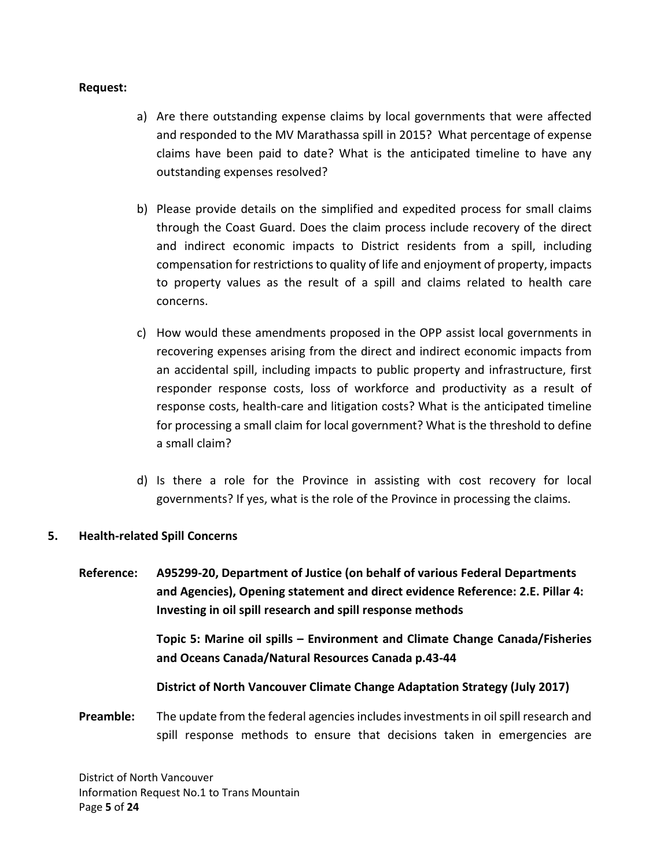#### **Request:**

- a) Are there outstanding expense claims by local governments that were affected and responded to the MV Marathassa spill in 2015? What percentage of expense claims have been paid to date? What is the anticipated timeline to have any outstanding expenses resolved?
- b) Please provide details on the simplified and expedited process for small claims through the Coast Guard. Does the claim process include recovery of the direct and indirect economic impacts to District residents from a spill, including compensation for restrictions to quality of life and enjoyment of property, impacts to property values as the result of a spill and claims related to health care concerns.
- c) How would these amendments proposed in the OPP assist local governments in recovering expenses arising from the direct and indirect economic impacts from an accidental spill, including impacts to public property and infrastructure, first responder response costs, loss of workforce and productivity as a result of response costs, health-care and litigation costs? What is the anticipated timeline for processing a small claim for local government? What is the threshold to define a small claim?
- d) Is there a role for the Province in assisting with cost recovery for local governments? If yes, what is the role of the Province in processing the claims.

## **5. Health-related Spill Concerns**

**Reference: A95299-20, Department of Justice (on behalf of various Federal Departments and Agencies), Opening statement and direct evidence Reference: 2.E. Pillar 4: Investing in oil spill research and spill response methods**

> **Topic 5: Marine oil spills – Environment and Climate Change Canada/Fisheries and Oceans Canada/Natural Resources Canada p.43-44**

#### **District of North Vancouver Climate Change Adaptation Strategy (July 2017)**

**Preamble:** The update from the federal agencies includes investments in oil spill research and spill response methods to ensure that decisions taken in emergencies are

District of North Vancouver Information Request No.1 to Trans Mountain Page **5** of **24**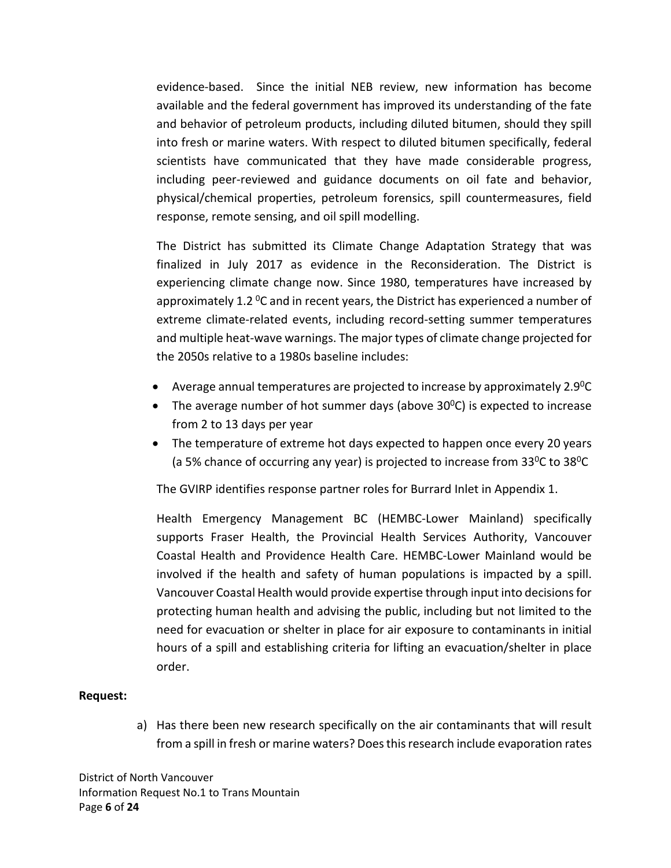evidence-based. Since the initial NEB review, new information has become available and the federal government has improved its understanding of the fate and behavior of petroleum products, including diluted bitumen, should they spill into fresh or marine waters. With respect to diluted bitumen specifically, federal scientists have communicated that they have made considerable progress, including peer-reviewed and guidance documents on oil fate and behavior, physical/chemical properties, petroleum forensics, spill countermeasures, field response, remote sensing, and oil spill modelling.

The District has submitted its Climate Change Adaptation Strategy that was finalized in July 2017 as evidence in the Reconsideration. The District is experiencing climate change now. Since 1980, temperatures have increased by approximately 1.2  $^{0}$ C and in recent years, the District has experienced a number of extreme climate-related events, including record-setting summer temperatures and multiple heat-wave warnings. The major types of climate change projected for the 2050s relative to a 1980s baseline includes:

- Average annual temperatures are projected to increase by approximately  $2.9^{\circ}C$
- The average number of hot summer days (above  $30^{\circ}$ C) is expected to increase from 2 to 13 days per year
- The temperature of extreme hot days expected to happen once every 20 years (a 5% chance of occurring any year) is projected to increase from  $33^{\circ}$ C to  $38^{\circ}$ C

The GVIRP identifies response partner roles for Burrard Inlet in Appendix 1.

Health Emergency Management BC (HEMBC-Lower Mainland) specifically supports Fraser Health, the Provincial Health Services Authority, Vancouver Coastal Health and Providence Health Care. HEMBC-Lower Mainland would be involved if the health and safety of human populations is impacted by a spill. Vancouver Coastal Health would provide expertise through input into decisions for protecting human health and advising the public, including but not limited to the need for evacuation or shelter in place for air exposure to contaminants in initial hours of a spill and establishing criteria for lifting an evacuation/shelter in place order.

## **Request:**

a) Has there been new research specifically on the air contaminants that will result from a spill in fresh or marine waters? Does this research include evaporation rates

District of North Vancouver Information Request No.1 to Trans Mountain Page **6** of **24**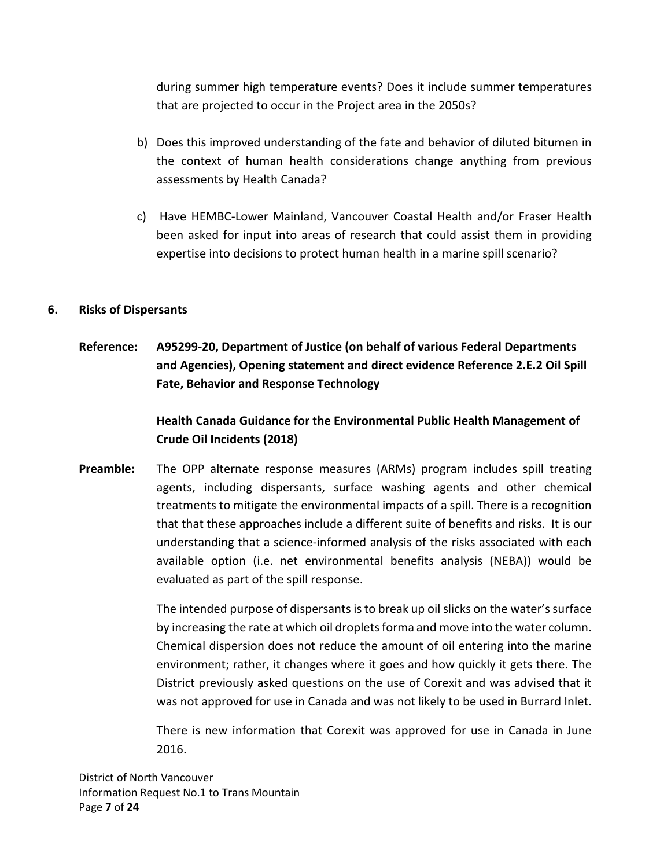during summer high temperature events? Does it include summer temperatures that are projected to occur in the Project area in the 2050s?

- b) Does this improved understanding of the fate and behavior of diluted bitumen in the context of human health considerations change anything from previous assessments by Health Canada?
- c) Have HEMBC-Lower Mainland, Vancouver Coastal Health and/or Fraser Health been asked for input into areas of research that could assist them in providing expertise into decisions to protect human health in a marine spill scenario?

## **6. Risks of Dispersants**

**Reference: A95299-20, Department of Justice (on behalf of various Federal Departments and Agencies), Opening statement and direct evidence Reference 2.E.2 Oil Spill Fate, Behavior and Response Technology**

# **Health Canada Guidance for the Environmental Public Health Management of Crude Oil Incidents (2018)**

**Preamble:** The OPP alternate response measures (ARMs) program includes spill treating agents, including dispersants, surface washing agents and other chemical treatments to mitigate the environmental impacts of a spill. There is a recognition that that these approaches include a different suite of benefits and risks. It is our understanding that a science-informed analysis of the risks associated with each available option (i.e. net environmental benefits analysis (NEBA)) would be evaluated as part of the spill response.

> The intended purpose of dispersants is to break up oil slicks on the water's surface by increasing the rate at which oil droplets forma and move into the water column. Chemical dispersion does not reduce the amount of oil entering into the marine environment; rather, it changes where it goes and how quickly it gets there. The District previously asked questions on the use of Corexit and was advised that it was not approved for use in Canada and was not likely to be used in Burrard Inlet.

> There is new information that Corexit was approved for use in Canada in June 2016.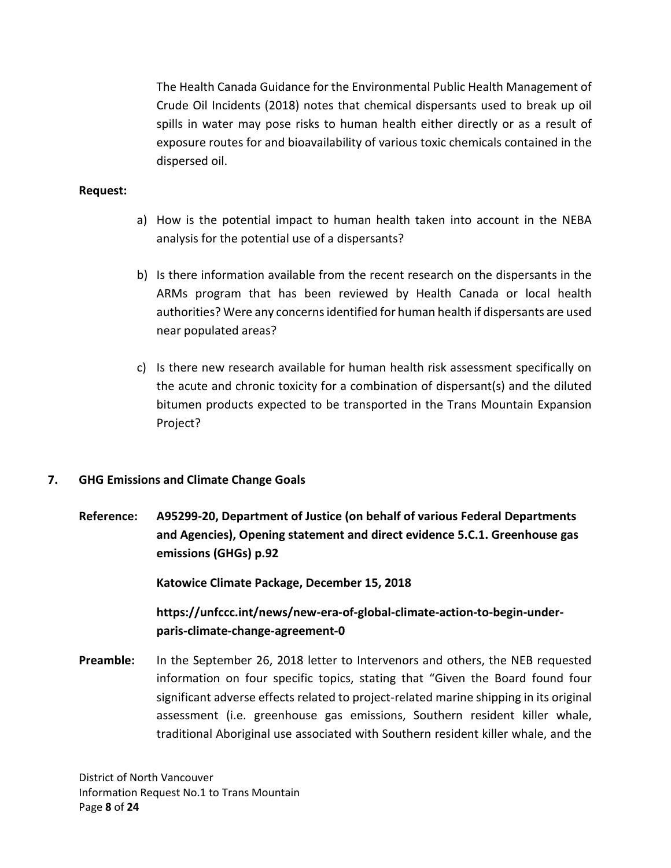The Health Canada Guidance for the Environmental Public Health Management of Crude Oil Incidents (2018) notes that chemical dispersants used to break up oil spills in water may pose risks to human health either directly or as a result of exposure routes for and bioavailability of various toxic chemicals contained in the dispersed oil.

## **Request:**

- a) How is the potential impact to human health taken into account in the NEBA analysis for the potential use of a dispersants?
- b) Is there information available from the recent research on the dispersants in the ARMs program that has been reviewed by Health Canada or local health authorities? Were any concerns identified for human health if dispersants are used near populated areas?
- c) Is there new research available for human health risk assessment specifically on the acute and chronic toxicity for a combination of dispersant(s) and the diluted bitumen products expected to be transported in the Trans Mountain Expansion Project?

## **7. GHG Emissions and Climate Change Goals**

**Reference: A95299-20, Department of Justice (on behalf of various Federal Departments and Agencies), Opening statement and direct evidence 5.C.1. Greenhouse gas emissions (GHGs) p.92**

**Katowice Climate Package, December 15, 2018**

**https://unfccc.int/news/new-era-of-global-climate-action-to-begin-underparis-climate-change-agreement-0**

**Preamble:** In the September 26, 2018 letter to Intervenors and others, the NEB requested information on four specific topics, stating that "Given the Board found four significant adverse effects related to project-related marine shipping in its original assessment (i.e. greenhouse gas emissions, Southern resident killer whale, traditional Aboriginal use associated with Southern resident killer whale, and the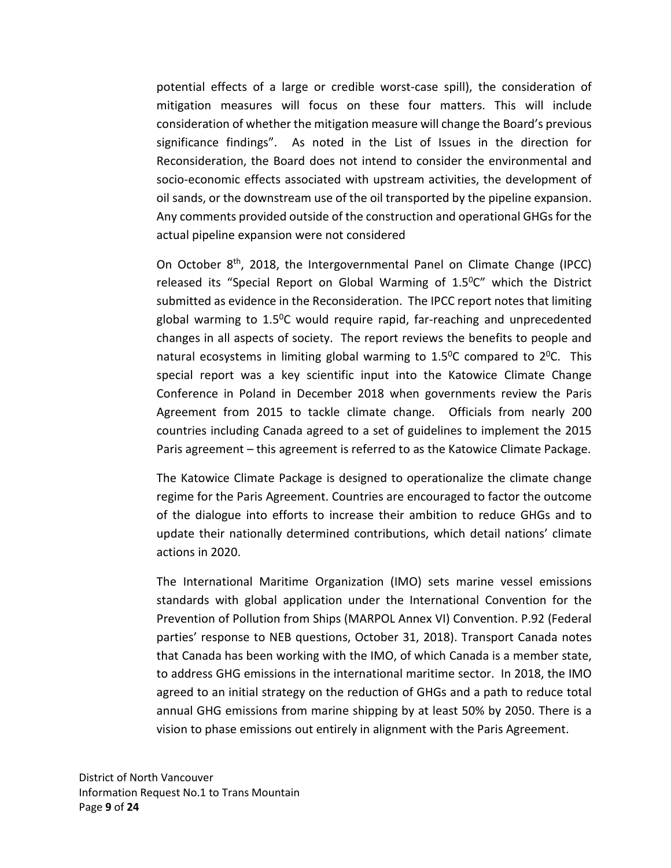potential effects of a large or credible worst-case spill), the consideration of mitigation measures will focus on these four matters. This will include consideration of whether the mitigation measure will change the Board's previous significance findings". As noted in the List of Issues in the direction for Reconsideration, the Board does not intend to consider the environmental and socio-economic effects associated with upstream activities, the development of oil sands, or the downstream use of the oil transported by the pipeline expansion. Any comments provided outside of the construction and operational GHGs for the actual pipeline expansion were not considered

On October 8<sup>th</sup>, 2018, the Intergovernmental Panel on Climate Change (IPCC) released its "Special Report on Global Warming of  $1.5^{\circ}$ C" which the District submitted as evidence in the Reconsideration. The IPCC report notes that limiting global warming to  $1.5^{\circ}$ C would require rapid, far-reaching and unprecedented changes in all aspects of society. The report reviews the benefits to people and natural ecosystems in limiting global warming to  $1.5^{\circ}$ C compared to  $2^{\circ}$ C. This special report was a key scientific input into the Katowice Climate Change Conference in Poland in December 2018 when governments review the Paris Agreement from 2015 to tackle climate change. Officials from nearly 200 countries including Canada agreed to a set of guidelines to implement the 2015 Paris agreement – this agreement is referred to as the Katowice Climate Package.

The Katowice Climate Package is designed to operationalize the climate change regime for the Paris Agreement. Countries are encouraged to factor the outcome of the dialogue into efforts to increase their ambition to reduce GHGs and to update their nationally determined contributions, which detail nations' climate actions in 2020.

The International Maritime Organization (IMO) sets marine vessel emissions standards with global application under the International Convention for the Prevention of Pollution from Ships (MARPOL Annex VI) Convention. P.92 (Federal parties' response to NEB questions, October 31, 2018). Transport Canada notes that Canada has been working with the IMO, of which Canada is a member state, to address GHG emissions in the international maritime sector. In 2018, the IMO agreed to an initial strategy on the reduction of GHGs and a path to reduce total annual GHG emissions from marine shipping by at least 50% by 2050. There is a vision to phase emissions out entirely in alignment with the Paris Agreement.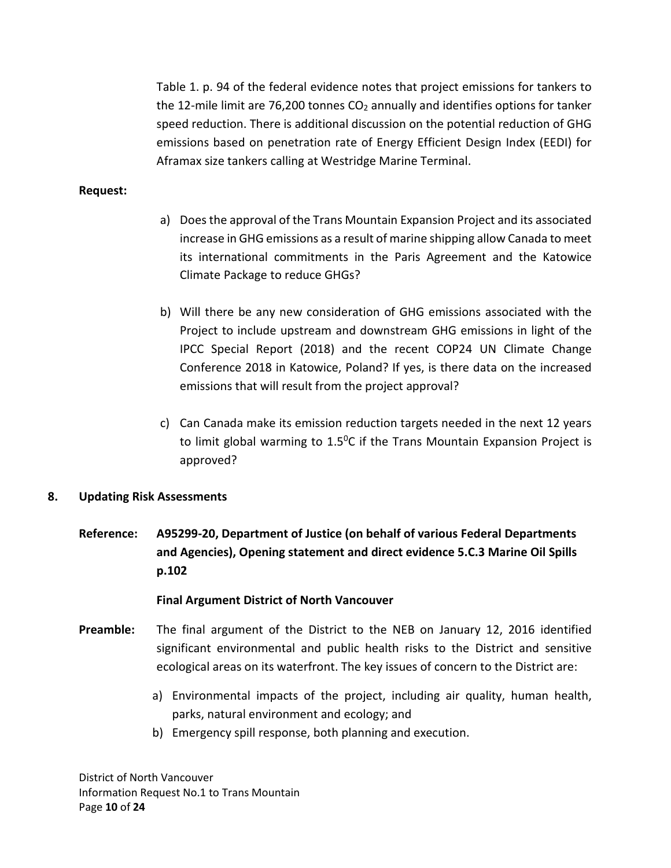Table 1. p. 94 of the federal evidence notes that project emissions for tankers to the 12-mile limit are 76,200 tonnes  $CO<sub>2</sub>$  annually and identifies options for tanker speed reduction. There is additional discussion on the potential reduction of GHG emissions based on penetration rate of Energy Efficient Design Index (EEDI) for Aframax size tankers calling at Westridge Marine Terminal.

## **Request:**

- a) Does the approval of the Trans Mountain Expansion Project and its associated increase in GHG emissions as a result of marine shipping allow Canada to meet its international commitments in the Paris Agreement and the Katowice Climate Package to reduce GHGs?
- b) Will there be any new consideration of GHG emissions associated with the Project to include upstream and downstream GHG emissions in light of the IPCC Special Report (2018) and the recent COP24 UN Climate Change Conference 2018 in Katowice, Poland? If yes, is there data on the increased emissions that will result from the project approval?
- c) Can Canada make its emission reduction targets needed in the next 12 years to limit global warming to 1.50C if the Trans Mountain Expansion Project is approved?

## **8. Updating Risk Assessments**

**Reference: A95299-20, Department of Justice (on behalf of various Federal Departments and Agencies), Opening statement and direct evidence 5.C.3 Marine Oil Spills p.102**

#### **Final Argument District of North Vancouver**

- **Preamble:** The final argument of the District to the NEB on January 12, 2016 identified significant environmental and public health risks to the District and sensitive ecological areas on its waterfront. The key issues of concern to the District are:
	- a) Environmental impacts of the project, including air quality, human health, parks, natural environment and ecology; and
	- b) Emergency spill response, both planning and execution.

District of North Vancouver Information Request No.1 to Trans Mountain Page **10** of **24**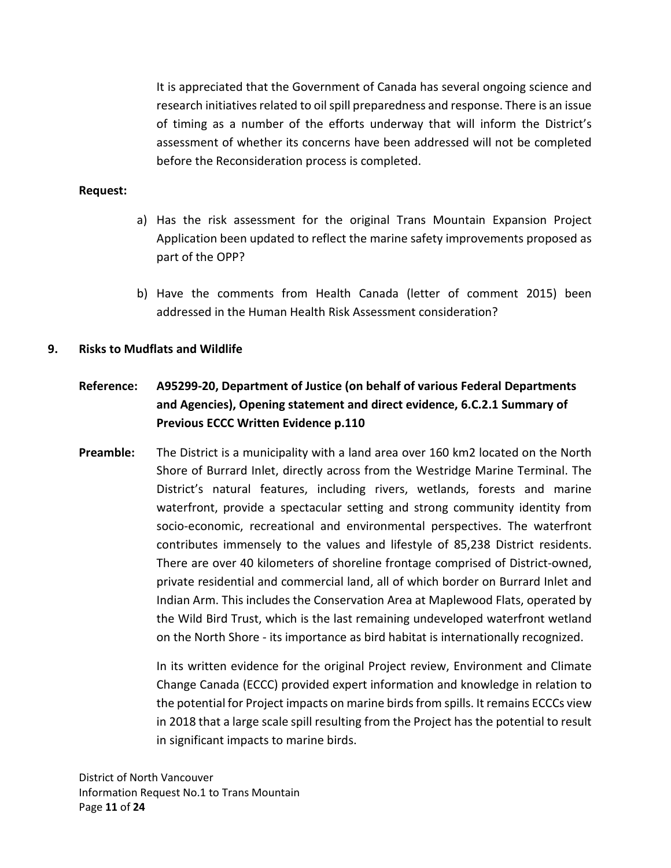It is appreciated that the Government of Canada has several ongoing science and research initiatives related to oil spill preparedness and response. There is an issue of timing as a number of the efforts underway that will inform the District's assessment of whether its concerns have been addressed will not be completed before the Reconsideration process is completed.

#### **Request:**

- a) Has the risk assessment for the original Trans Mountain Expansion Project Application been updated to reflect the marine safety improvements proposed as part of the OPP?
- b) Have the comments from Health Canada (letter of comment 2015) been addressed in the Human Health Risk Assessment consideration?

#### **9. Risks to Mudflats and Wildlife**

# **Reference: A95299-20, Department of Justice (on behalf of various Federal Departments and Agencies), Opening statement and direct evidence, 6.C.2.1 Summary of Previous ECCC Written Evidence p.110**

**Preamble:** The District is a municipality with a land area over 160 km2 located on the North Shore of Burrard Inlet, directly across from the Westridge Marine Terminal. The District's natural features, including rivers, wetlands, forests and marine waterfront, provide a spectacular setting and strong community identity from socio-economic, recreational and environmental perspectives. The waterfront contributes immensely to the values and lifestyle of 85,238 District residents. There are over 40 kilometers of shoreline frontage comprised of District-owned, private residential and commercial land, all of which border on Burrard Inlet and Indian Arm. This includes the Conservation Area at Maplewood Flats, operated by the Wild Bird Trust, which is the last remaining undeveloped waterfront wetland on the North Shore - its importance as bird habitat is internationally recognized.

> In its written evidence for the original Project review, Environment and Climate Change Canada (ECCC) provided expert information and knowledge in relation to the potential for Project impacts on marine birds from spills. It remains ECCCs view in 2018 that a large scale spill resulting from the Project has the potential to result in significant impacts to marine birds.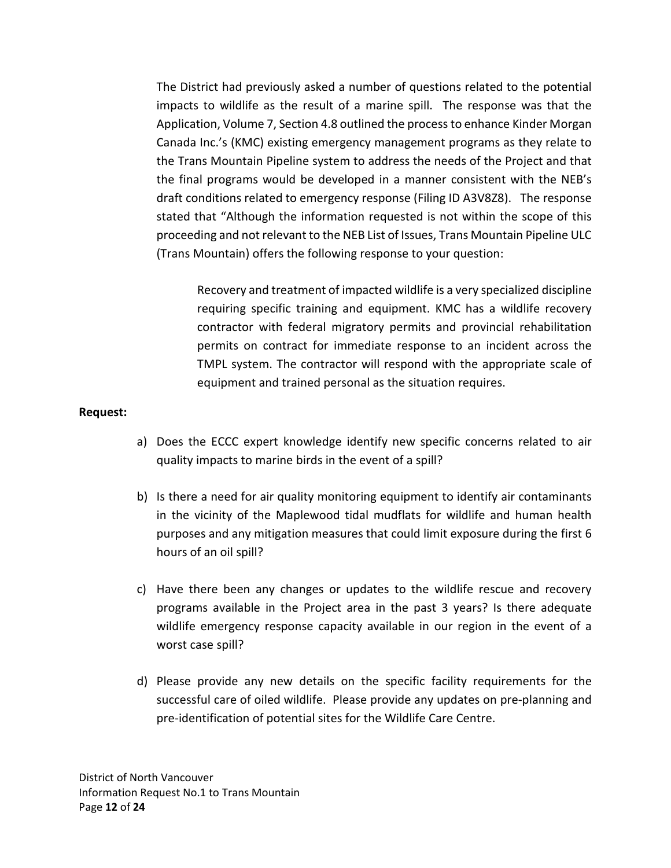The District had previously asked a number of questions related to the potential impacts to wildlife as the result of a marine spill. The response was that the Application, Volume 7, Section 4.8 outlined the process to enhance Kinder Morgan Canada Inc.'s (KMC) existing emergency management programs as they relate to the Trans Mountain Pipeline system to address the needs of the Project and that the final programs would be developed in a manner consistent with the NEB's draft conditions related to emergency response (Filing ID A3V8Z8). The response stated that "Although the information requested is not within the scope of this proceeding and not relevant to the NEB List of Issues, Trans Mountain Pipeline ULC (Trans Mountain) offers the following response to your question:

Recovery and treatment of impacted wildlife is a very specialized discipline requiring specific training and equipment. KMC has a wildlife recovery contractor with federal migratory permits and provincial rehabilitation permits on contract for immediate response to an incident across the TMPL system. The contractor will respond with the appropriate scale of equipment and trained personal as the situation requires.

## **Request:**

- a) Does the ECCC expert knowledge identify new specific concerns related to air quality impacts to marine birds in the event of a spill?
- b) Is there a need for air quality monitoring equipment to identify air contaminants in the vicinity of the Maplewood tidal mudflats for wildlife and human health purposes and any mitigation measures that could limit exposure during the first 6 hours of an oil spill?
- c) Have there been any changes or updates to the wildlife rescue and recovery programs available in the Project area in the past 3 years? Is there adequate wildlife emergency response capacity available in our region in the event of a worst case spill?
- d) Please provide any new details on the specific facility requirements for the successful care of oiled wildlife. Please provide any updates on pre-planning and pre-identification of potential sites for the Wildlife Care Centre.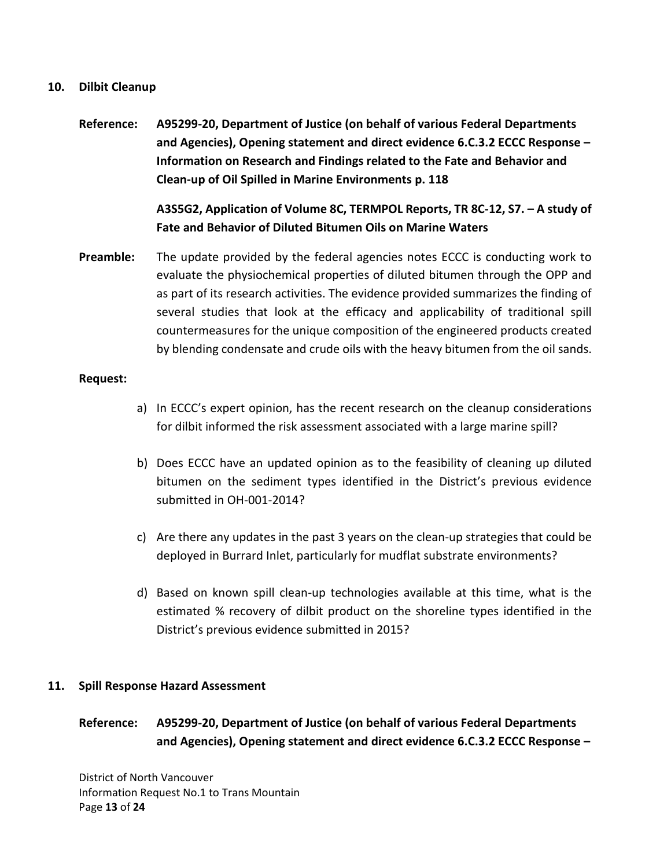### **10. Dilbit Cleanup**

**Reference: A95299-20, Department of Justice (on behalf of various Federal Departments and Agencies), Opening statement and direct evidence 6.C.3.2 ECCC Response – Information on Research and Findings related to the Fate and Behavior and Clean-up of Oil Spilled in Marine Environments p. 118**

> **A3S5G2, Application of Volume 8C, TERMPOL Reports, TR 8C-12, S7. – A study of Fate and Behavior of Diluted Bitumen Oils on Marine Waters**

**Preamble:** The update provided by the federal agencies notes ECCC is conducting work to evaluate the physiochemical properties of diluted bitumen through the OPP and as part of its research activities. The evidence provided summarizes the finding of several studies that look at the efficacy and applicability of traditional spill countermeasures for the unique composition of the engineered products created by blending condensate and crude oils with the heavy bitumen from the oil sands.

#### **Request:**

- a) In ECCC's expert opinion, has the recent research on the cleanup considerations for dilbit informed the risk assessment associated with a large marine spill?
- b) Does ECCC have an updated opinion as to the feasibility of cleaning up diluted bitumen on the sediment types identified in the District's previous evidence submitted in OH-001-2014?
- c) Are there any updates in the past 3 years on the clean-up strategies that could be deployed in Burrard Inlet, particularly for mudflat substrate environments?
- d) Based on known spill clean-up technologies available at this time, what is the estimated % recovery of dilbit product on the shoreline types identified in the District's previous evidence submitted in 2015?

## **11. Spill Response Hazard Assessment**

## **Reference: A95299-20, Department of Justice (on behalf of various Federal Departments and Agencies), Opening statement and direct evidence 6.C.3.2 ECCC Response –**

District of North Vancouver Information Request No.1 to Trans Mountain Page **13** of **24**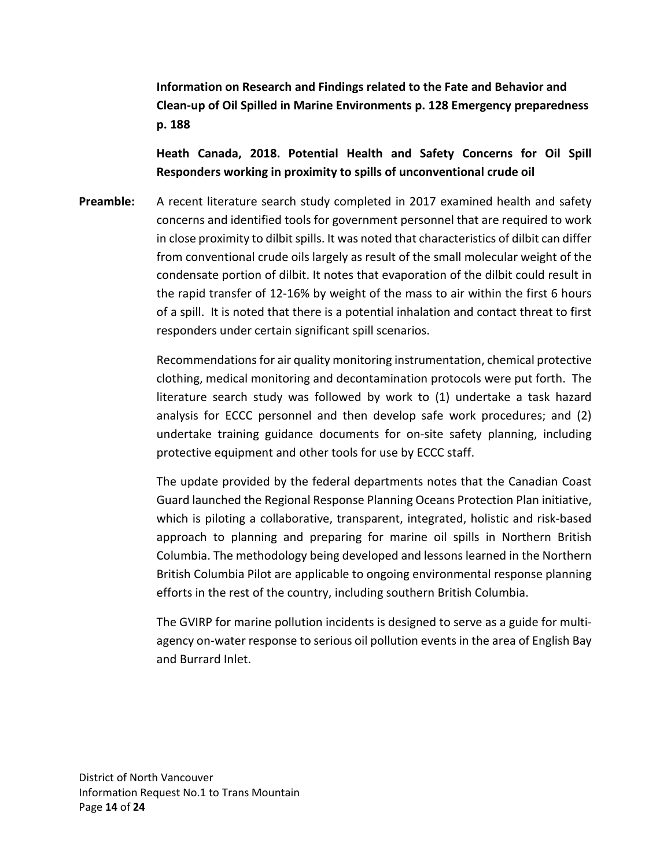**Information on Research and Findings related to the Fate and Behavior and Clean-up of Oil Spilled in Marine Environments p. 128 Emergency preparedness p. 188**

**Heath Canada, 2018. Potential Health and Safety Concerns for Oil Spill Responders working in proximity to spills of unconventional crude oil**

**Preamble:** A recent literature search study completed in 2017 examined health and safety concerns and identified tools for government personnel that are required to work in close proximity to dilbit spills. It was noted that characteristics of dilbit can differ from conventional crude oils largely as result of the small molecular weight of the condensate portion of dilbit. It notes that evaporation of the dilbit could result in the rapid transfer of 12-16% by weight of the mass to air within the first 6 hours of a spill. It is noted that there is a potential inhalation and contact threat to first responders under certain significant spill scenarios.

> Recommendations for air quality monitoring instrumentation, chemical protective clothing, medical monitoring and decontamination protocols were put forth. The literature search study was followed by work to (1) undertake a task hazard analysis for ECCC personnel and then develop safe work procedures; and (2) undertake training guidance documents for on-site safety planning, including protective equipment and other tools for use by ECCC staff.

> The update provided by the federal departments notes that the Canadian Coast Guard launched the Regional Response Planning Oceans Protection Plan initiative, which is piloting a collaborative, transparent, integrated, holistic and risk-based approach to planning and preparing for marine oil spills in Northern British Columbia. The methodology being developed and lessons learned in the Northern British Columbia Pilot are applicable to ongoing environmental response planning efforts in the rest of the country, including southern British Columbia.

> The GVIRP for marine pollution incidents is designed to serve as a guide for multiagency on-water response to serious oil pollution events in the area of English Bay and Burrard Inlet.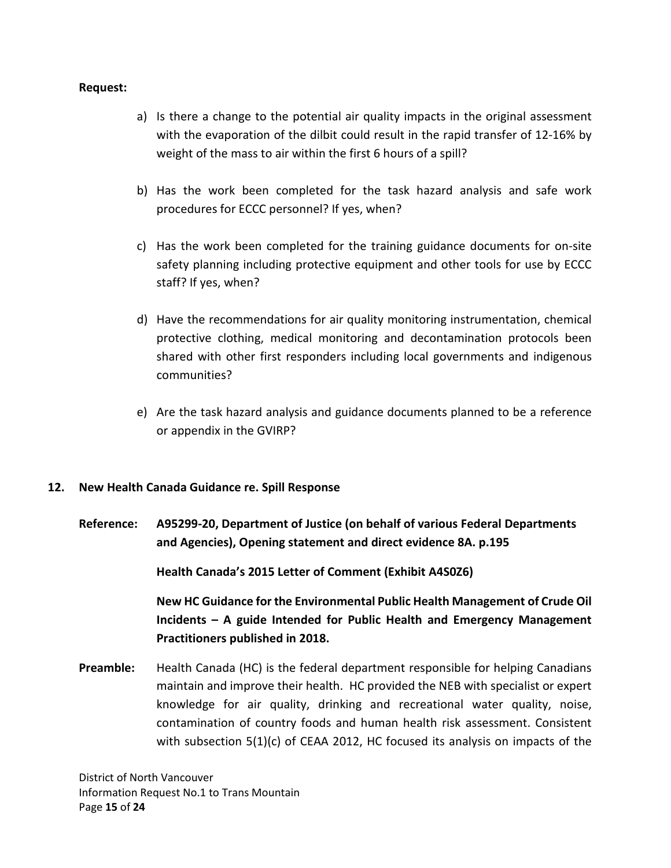#### **Request:**

- a) Is there a change to the potential air quality impacts in the original assessment with the evaporation of the dilbit could result in the rapid transfer of 12-16% by weight of the mass to air within the first 6 hours of a spill?
- b) Has the work been completed for the task hazard analysis and safe work procedures for ECCC personnel? If yes, when?
- c) Has the work been completed for the training guidance documents for on-site safety planning including protective equipment and other tools for use by ECCC staff? If yes, when?
- d) Have the recommendations for air quality monitoring instrumentation, chemical protective clothing, medical monitoring and decontamination protocols been shared with other first responders including local governments and indigenous communities?
- e) Are the task hazard analysis and guidance documents planned to be a reference or appendix in the GVIRP?

## **12. New Health Canada Guidance re. Spill Response**

**Reference: A95299-20, Department of Justice (on behalf of various Federal Departments and Agencies), Opening statement and direct evidence 8A. p.195**

**Health Canada's 2015 Letter of Comment (Exhibit A4S0Z6)**

**New HC Guidance for the Environmental Public Health Management of Crude Oil Incidents – A guide Intended for Public Health and Emergency Management Practitioners published in 2018.**

**Preamble:** Health Canada (HC) is the federal department responsible for helping Canadians maintain and improve their health. HC provided the NEB with specialist or expert knowledge for air quality, drinking and recreational water quality, noise, contamination of country foods and human health risk assessment. Consistent with subsection 5(1)(c) of CEAA 2012, HC focused its analysis on impacts of the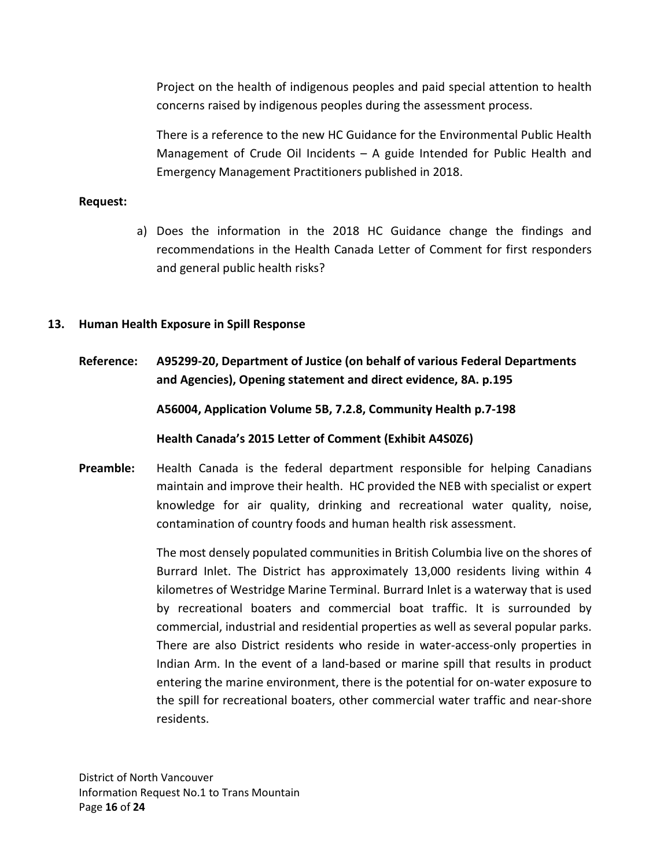Project on the health of indigenous peoples and paid special attention to health concerns raised by indigenous peoples during the assessment process.

There is a reference to the new HC Guidance for the Environmental Public Health Management of Crude Oil Incidents – A guide Intended for Public Health and Emergency Management Practitioners published in 2018.

### **Request:**

a) Does the information in the 2018 HC Guidance change the findings and recommendations in the Health Canada Letter of Comment for first responders and general public health risks?

#### **13. Human Health Exposure in Spill Response**

**Reference: A95299-20, Department of Justice (on behalf of various Federal Departments and Agencies), Opening statement and direct evidence, 8A. p.195**

**A56004, Application Volume 5B, 7.2.8, Community Health p.7-198**

**Health Canada's 2015 Letter of Comment (Exhibit A4S0Z6)**

**Preamble:** Health Canada is the federal department responsible for helping Canadians maintain and improve their health. HC provided the NEB with specialist or expert knowledge for air quality, drinking and recreational water quality, noise, contamination of country foods and human health risk assessment.

> The most densely populated communities in British Columbia live on the shores of Burrard Inlet. The District has approximately 13,000 residents living within 4 kilometres of Westridge Marine Terminal. Burrard Inlet is a waterway that is used by recreational boaters and commercial boat traffic. It is surrounded by commercial, industrial and residential properties as well as several popular parks. There are also District residents who reside in water-access-only properties in Indian Arm. In the event of a land-based or marine spill that results in product entering the marine environment, there is the potential for on-water exposure to the spill for recreational boaters, other commercial water traffic and near-shore residents.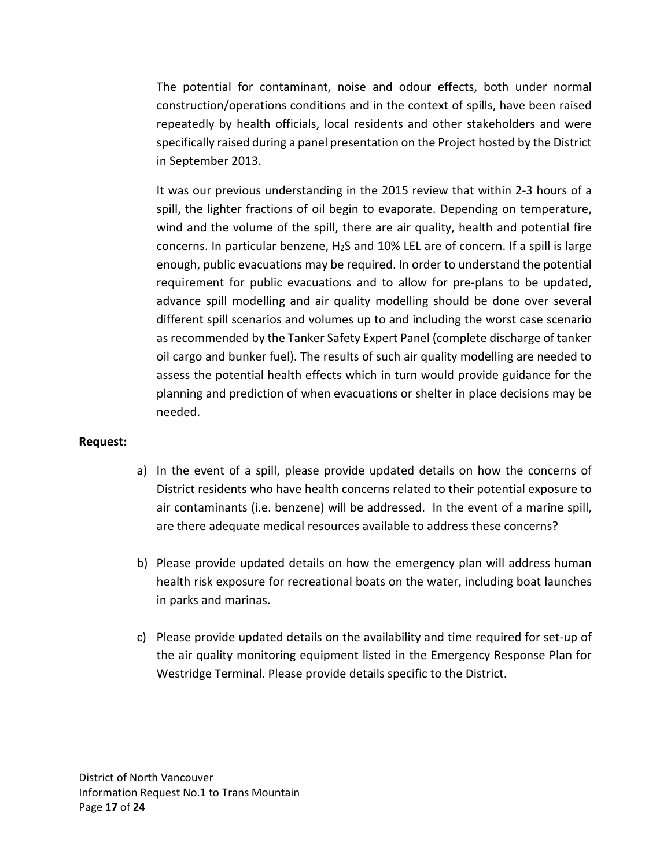The potential for contaminant, noise and odour effects, both under normal construction/operations conditions and in the context of spills, have been raised repeatedly by health officials, local residents and other stakeholders and were specifically raised during a panel presentation on the Project hosted by the District in September 2013.

It was our previous understanding in the 2015 review that within 2-3 hours of a spill, the lighter fractions of oil begin to evaporate. Depending on temperature, wind and the volume of the spill, there are air quality, health and potential fire concerns. In particular benzene,  $H_2S$  and 10% LEL are of concern. If a spill is large enough, public evacuations may be required. In order to understand the potential requirement for public evacuations and to allow for pre-plans to be updated, advance spill modelling and air quality modelling should be done over several different spill scenarios and volumes up to and including the worst case scenario as recommended by the Tanker Safety Expert Panel (complete discharge of tanker oil cargo and bunker fuel). The results of such air quality modelling are needed to assess the potential health effects which in turn would provide guidance for the planning and prediction of when evacuations or shelter in place decisions may be needed.

## **Request:**

- a) In the event of a spill, please provide updated details on how the concerns of District residents who have health concerns related to their potential exposure to air contaminants (i.e. benzene) will be addressed. In the event of a marine spill, are there adequate medical resources available to address these concerns?
- b) Please provide updated details on how the emergency plan will address human health risk exposure for recreational boats on the water, including boat launches in parks and marinas.
- c) Please provide updated details on the availability and time required for set-up of the air quality monitoring equipment listed in the Emergency Response Plan for Westridge Terminal. Please provide details specific to the District.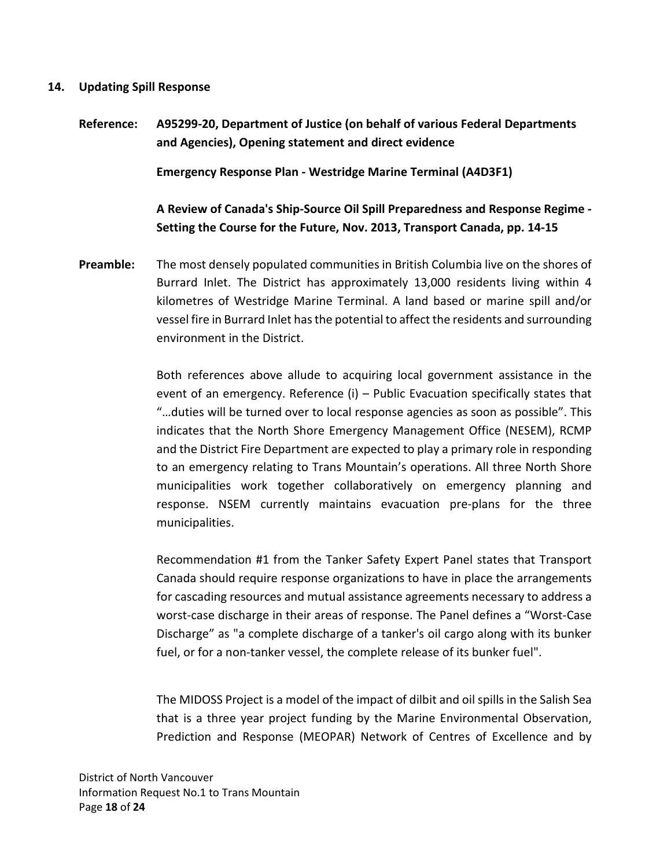#### **14. Updating Spill Response**

**Reference: A95299-20, Department of Justice (on behalf of various Federal Departments and Agencies), Opening statement and direct evidence Emergency Response Plan - Westridge Marine Terminal (A4D3F1) A Review of Canada's Ship-Source Oil Spill Preparedness and Response Regime - Setting the Course for the Future, Nov. 2013, Transport Canada, pp. 14-15** 

**Preamble:** The most densely populated communities in British Columbia live on the shores of Burrard Inlet. The District has approximately 13,000 residents living within 4 kilometres of Westridge Marine Terminal. A land based or marine spill and/or vessel fire in Burrard Inlet has the potential to affect the residents and surrounding environment in the District.

> Both references above allude to acquiring local government assistance in the event of an emergency. Reference (i) – Public Evacuation specifically states that "…duties will be turned over to local response agencies as soon as possible". This indicates that the North Shore Emergency Management Office (NESEM), RCMP and the District Fire Department are expected to play a primary role in responding to an emergency relating to Trans Mountain's operations. All three North Shore municipalities work together collaboratively on emergency planning and response. NSEM currently maintains evacuation pre-plans for the three municipalities.

> Recommendation #1 from the Tanker Safety Expert Panel states that Transport Canada should require response organizations to have in place the arrangements for cascading resources and mutual assistance agreements necessary to address a worst-case discharge in their areas of response. The Panel defines a "Worst-Case Discharge" as "a complete discharge of a tanker's oil cargo along with its bunker fuel, or for a non-tanker vessel, the complete release of its bunker fuel".

> The MIDOSS Project is a model of the impact of dilbit and oil spills in the Salish Sea that is a three year project funding by the Marine Environmental Observation, Prediction and Response (MEOPAR) Network of Centres of Excellence and by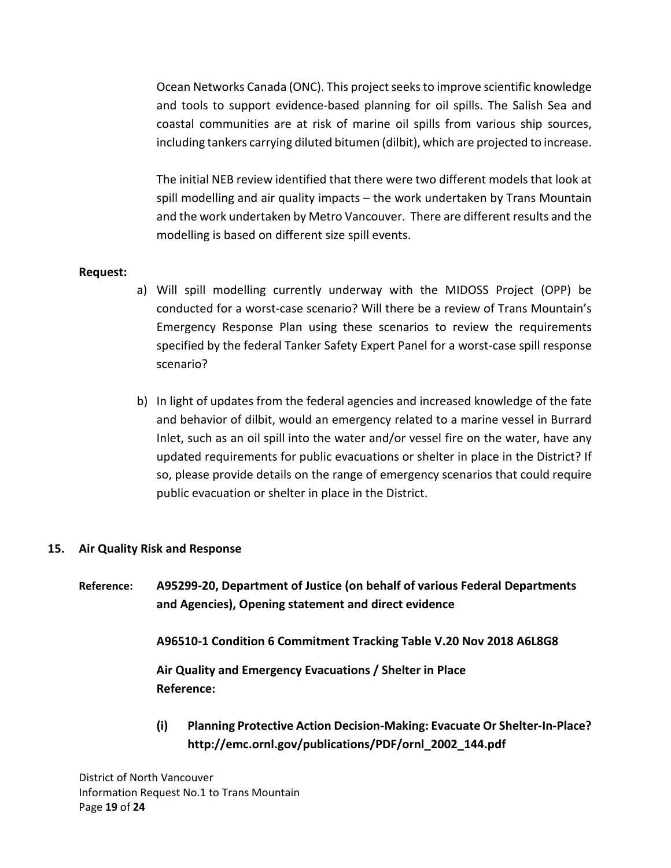Ocean Networks Canada (ONC). This project seeks to improve scientific knowledge and tools to support evidence-based planning for oil spills. The Salish Sea and coastal communities are at risk of marine oil spills from various ship sources, including tankers carrying diluted bitumen (dilbit), which are projected to increase.

The initial NEB review identified that there were two different models that look at spill modelling and air quality impacts – the work undertaken by Trans Mountain and the work undertaken by Metro Vancouver. There are different results and the modelling is based on different size spill events.

## **Request:**

- a) Will spill modelling currently underway with the MIDOSS Project (OPP) be conducted for a worst-case scenario? Will there be a review of Trans Mountain's Emergency Response Plan using these scenarios to review the requirements specified by the federal Tanker Safety Expert Panel for a worst-case spill response scenario?
- b) In light of updates from the federal agencies and increased knowledge of the fate and behavior of dilbit, would an emergency related to a marine vessel in Burrard Inlet, such as an oil spill into the water and/or vessel fire on the water, have any updated requirements for public evacuations or shelter in place in the District? If so, please provide details on the range of emergency scenarios that could require public evacuation or shelter in place in the District.

## **15. Air Quality Risk and Response**

**Reference: A95299-20, Department of Justice (on behalf of various Federal Departments and Agencies), Opening statement and direct evidence**

**A96510-1 Condition 6 Commitment Tracking Table V.20 Nov 2018 A6L8G8**

**Air Quality and Emergency Evacuations / Shelter in Place Reference:**

**(i) Planning Protective Action Decision-Making: Evacuate Or Shelter-In-Place? http://emc.ornl.gov/publications/PDF/ornl\_2002\_144.pdf**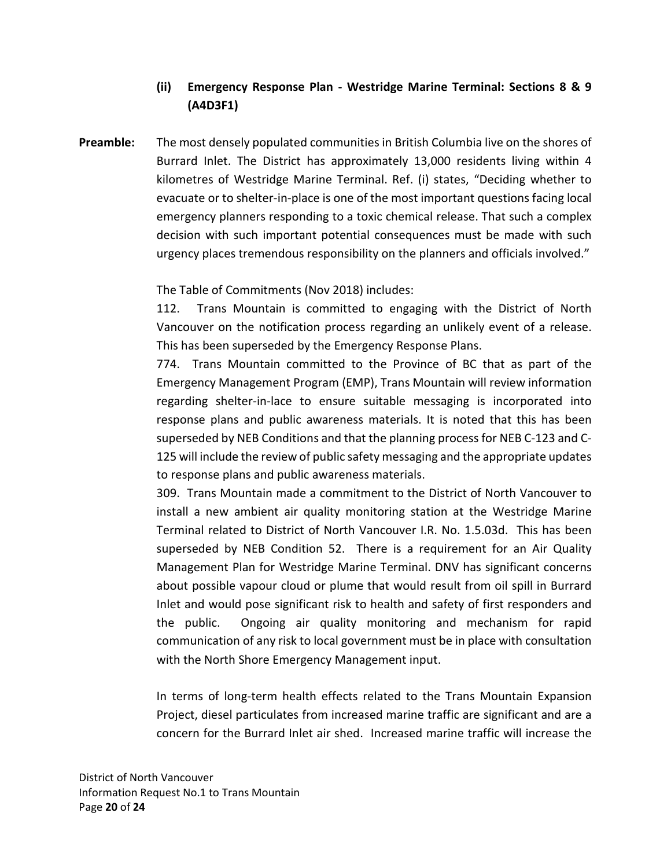# **(ii) Emergency Response Plan - Westridge Marine Terminal: Sections 8 & 9 (A4D3F1)**

**Preamble:** The most densely populated communities in British Columbia live on the shores of Burrard Inlet. The District has approximately 13,000 residents living within 4 kilometres of Westridge Marine Terminal. Ref. (i) states, "Deciding whether to evacuate or to shelter-in-place is one of the most important questions facing local emergency planners responding to a toxic chemical release. That such a complex decision with such important potential consequences must be made with such urgency places tremendous responsibility on the planners and officials involved."

The Table of Commitments (Nov 2018) includes:

112. Trans Mountain is committed to engaging with the District of North Vancouver on the notification process regarding an unlikely event of a release. This has been superseded by the Emergency Response Plans.

774. Trans Mountain committed to the Province of BC that as part of the Emergency Management Program (EMP), Trans Mountain will review information regarding shelter-in-lace to ensure suitable messaging is incorporated into response plans and public awareness materials. It is noted that this has been superseded by NEB Conditions and that the planning process for NEB C-123 and C-125 will include the review of public safety messaging and the appropriate updates to response plans and public awareness materials.

309. Trans Mountain made a commitment to the District of North Vancouver to install a new ambient air quality monitoring station at the Westridge Marine Terminal related to District of North Vancouver I.R. No. 1.5.03d. This has been superseded by NEB Condition 52. There is a requirement for an Air Quality Management Plan for Westridge Marine Terminal. DNV has significant concerns about possible vapour cloud or plume that would result from oil spill in Burrard Inlet and would pose significant risk to health and safety of first responders and the public. Ongoing air quality monitoring and mechanism for rapid communication of any risk to local government must be in place with consultation with the North Shore Emergency Management input.

In terms of long-term health effects related to the Trans Mountain Expansion Project, diesel particulates from increased marine traffic are significant and are a concern for the Burrard Inlet air shed. Increased marine traffic will increase the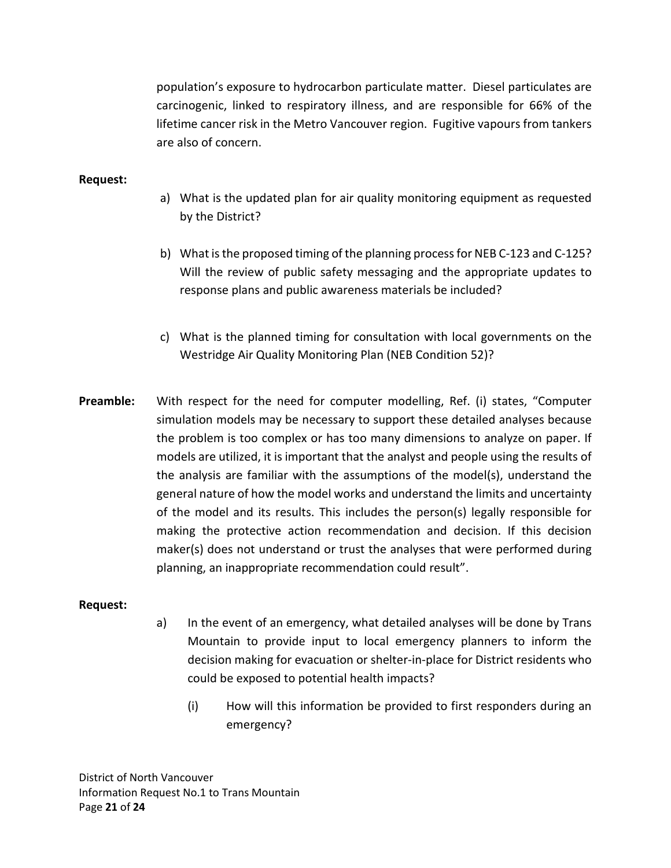population's exposure to hydrocarbon particulate matter. Diesel particulates are carcinogenic, linked to respiratory illness, and are responsible for 66% of the lifetime cancer risk in the Metro Vancouver region. Fugitive vapours from tankers are also of concern.

## **Request:**

- a) What is the updated plan for air quality monitoring equipment as requested by the District?
- b) What is the proposed timing of the planning process for NEB C-123 and C-125? Will the review of public safety messaging and the appropriate updates to response plans and public awareness materials be included?
- c) What is the planned timing for consultation with local governments on the Westridge Air Quality Monitoring Plan (NEB Condition 52)?
- **Preamble:** With respect for the need for computer modelling, Ref. (i) states, "Computer simulation models may be necessary to support these detailed analyses because the problem is too complex or has too many dimensions to analyze on paper. If models are utilized, it is important that the analyst and people using the results of the analysis are familiar with the assumptions of the model(s), understand the general nature of how the model works and understand the limits and uncertainty of the model and its results. This includes the person(s) legally responsible for making the protective action recommendation and decision. If this decision maker(s) does not understand or trust the analyses that were performed during planning, an inappropriate recommendation could result".

#### **Request:**

- a) In the event of an emergency, what detailed analyses will be done by Trans Mountain to provide input to local emergency planners to inform the decision making for evacuation or shelter-in-place for District residents who could be exposed to potential health impacts?
	- (i) How will this information be provided to first responders during an emergency?

District of North Vancouver Information Request No.1 to Trans Mountain Page **21** of **24**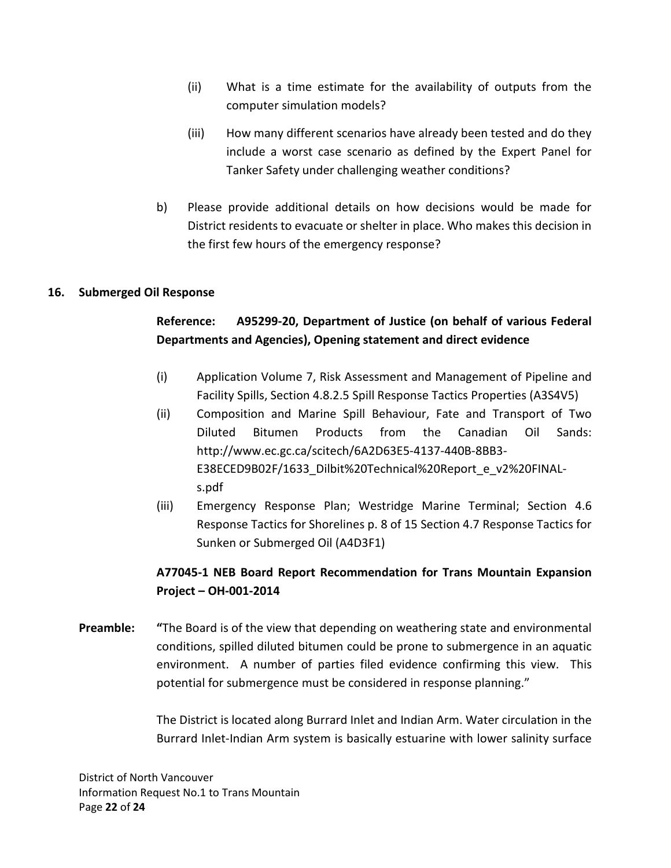- (ii) What is a time estimate for the availability of outputs from the computer simulation models?
- (iii) How many different scenarios have already been tested and do they include a worst case scenario as defined by the Expert Panel for Tanker Safety under challenging weather conditions?
- b) Please provide additional details on how decisions would be made for District residents to evacuate or shelter in place. Who makes this decision in the first few hours of the emergency response?

## **16. Submerged Oil Response**

# **Reference: A95299-20, Department of Justice (on behalf of various Federal Departments and Agencies), Opening statement and direct evidence**

- (i) Application Volume 7, Risk Assessment and Management of Pipeline and Facility Spills, Section 4.8.2.5 Spill Response Tactics Properties (A3S4V5)
- (ii) Composition and Marine Spill Behaviour, Fate and Transport of Two Diluted Bitumen Products from the Canadian Oil Sands: http://www.ec.gc.ca/scitech/6A2D63E5-4137-440B-8BB3- E38ECED9B02F/1633\_Dilbit%20Technical%20Report\_e\_v2%20FINALs.pdf
- (iii) Emergency Response Plan; Westridge Marine Terminal; Section 4.6 Response Tactics for Shorelines p. 8 of 15 Section 4.7 Response Tactics for Sunken or Submerged Oil (A4D3F1)

## **A77045-1 NEB Board Report Recommendation for Trans Mountain Expansion Project – OH-001-2014**

**Preamble: "**The Board is of the view that depending on weathering state and environmental conditions, spilled diluted bitumen could be prone to submergence in an aquatic environment. A number of parties filed evidence confirming this view. This potential for submergence must be considered in response planning."

> The District is located along Burrard Inlet and Indian Arm. Water circulation in the Burrard Inlet-Indian Arm system is basically estuarine with lower salinity surface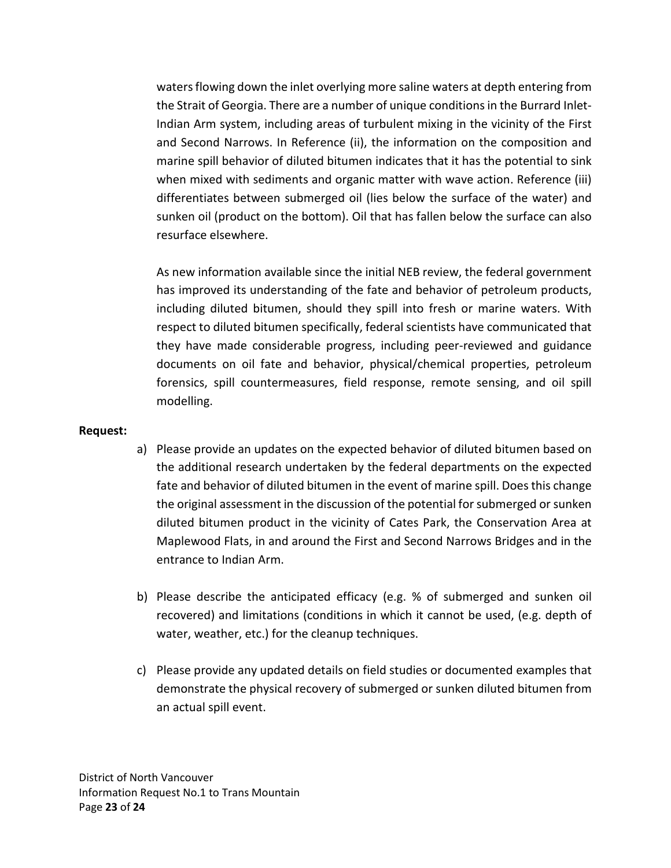waters flowing down the inlet overlying more saline waters at depth entering from the Strait of Georgia. There are a number of unique conditions in the Burrard Inlet-Indian Arm system, including areas of turbulent mixing in the vicinity of the First and Second Narrows. In Reference (ii), the information on the composition and marine spill behavior of diluted bitumen indicates that it has the potential to sink when mixed with sediments and organic matter with wave action. Reference (iii) differentiates between submerged oil (lies below the surface of the water) and sunken oil (product on the bottom). Oil that has fallen below the surface can also resurface elsewhere.

As new information available since the initial NEB review, the federal government has improved its understanding of the fate and behavior of petroleum products, including diluted bitumen, should they spill into fresh or marine waters. With respect to diluted bitumen specifically, federal scientists have communicated that they have made considerable progress, including peer-reviewed and guidance documents on oil fate and behavior, physical/chemical properties, petroleum forensics, spill countermeasures, field response, remote sensing, and oil spill modelling.

#### **Request:**

- a) Please provide an updates on the expected behavior of diluted bitumen based on the additional research undertaken by the federal departments on the expected fate and behavior of diluted bitumen in the event of marine spill. Does this change the original assessment in the discussion of the potential for submerged or sunken diluted bitumen product in the vicinity of Cates Park, the Conservation Area at Maplewood Flats, in and around the First and Second Narrows Bridges and in the entrance to Indian Arm.
- b) Please describe the anticipated efficacy (e.g. % of submerged and sunken oil recovered) and limitations (conditions in which it cannot be used, (e.g. depth of water, weather, etc.) for the cleanup techniques.
- c) Please provide any updated details on field studies or documented examples that demonstrate the physical recovery of submerged or sunken diluted bitumen from an actual spill event.